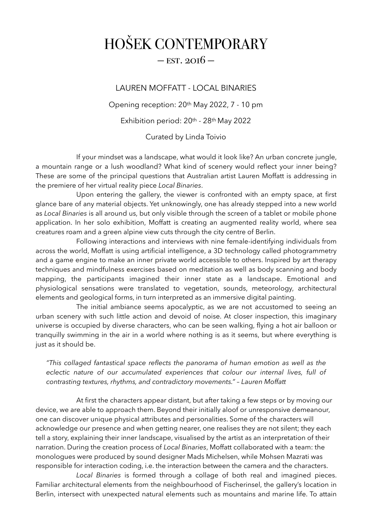## HOŠEK CONTEMPORARY

## $-$  EST. 2016  $-$

## LAUREN MOFFATT - LOCAL BINARIES

Opening reception: 20th May 2022, 7 - 10 pm

Exhibition period: 20th - 28th May 2022

Curated by Linda Toivio

 If your mindset was a landscape, what would it look like? An urban concrete jungle, a mountain range or a lush woodland? What kind of scenery would reflect your inner being? These are some of the principal questions that Australian artist Lauren Moffatt is addressing in the premiere of her virtual reality piece *Local Binaries*.

 Upon entering the gallery, the viewer is confronted with an empty space, at first glance bare of any material objects. Yet unknowingly, one has already stepped into a new world as *Local Binaries* is all around us, but only visible through the screen of a tablet or mobile phone application. In her solo exhibition, Moffatt is creating an augmented reality world, where sea creatures roam and a green alpine view cuts through the city centre of Berlin.

 Following interactions and interviews with nine female-identifying individuals from across the world, Moffatt is using artificial intelligence, a 3D technology called photogrammetry and a game engine to make an inner private world accessible to others. Inspired by art therapy techniques and mindfulness exercises based on meditation as well as body scanning and body mapping, the participants imagined their inner state as a landscape. Emotional and physiological sensations were translated to vegetation, sounds, meteorology, architectural elements and geological forms, in turn interpreted as an immersive digital painting.

 The initial ambiance seems apocalyptic, as we are not accustomed to seeing an urban scenery with such little action and devoid of noise. At closer inspection, this imaginary universe is occupied by diverse characters, who can be seen walking, flying a hot air balloon or tranquilly swimming in the air in a world where nothing is as it seems, but where everything is just as it should be.

*"This collaged fantastical space reflects the panorama of human emotion as well as the eclectic nature of our accumulated experiences that colour our internal lives, full of contrasting textures, rhythms, and contradictory movements." – Lauren Moffatt* 

 At first the characters appear distant, but after taking a few steps or by moving our device, we are able to approach them. Beyond their initially aloof or unresponsive demeanour, one can discover unique physical attributes and personalities. Some of the characters will acknowledge our presence and when getting nearer, one realises they are not silent; they each tell a story, explaining their inner landscape, visualised by the artist as an interpretation of their narration. During the creation process of *Local Binaries*, Moffatt collaborated with a team: the monologues were produced by sound designer Mads Michelsen, while Mohsen Mazrati was responsible for interaction coding, i.e. the interaction between the camera and the characters.

*Local Binaries* is formed through a collage of both real and imagined pieces. Familiar architectural elements from the neighbourhood of Fischerinsel, the gallery's location in Berlin, intersect with unexpected natural elements such as mountains and marine life. To attain